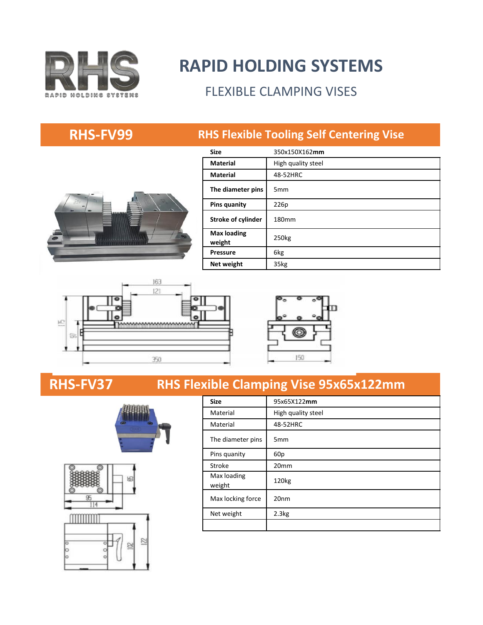

# **RAPID HOLDING SYSTEMS**

### FLEXIBLE CLAMPING VISES

### **RHS-FV99 RHS Flexible Tooling Self Centering Vise**



| <b>Size</b>                  | 350x150X162mm      |
|------------------------------|--------------------|
| <b>Material</b>              | High quality steel |
| <b>Material</b>              | 48-52HRC           |
| The diameter pins            | 5 <sub>mm</sub>    |
| <b>Pins quanity</b>          | 226p               |
| <b>Stroke of cylinder</b>    | 180 <sub>mm</sub>  |
| <b>Max loading</b><br>weight | 250kg              |
| <b>Pressure</b>              | 6kg                |
| Net weight                   | 35kg               |





### **RHS-FV37**





### **RHS Flexible Clamping Vise 95x65x122mm**

| <b>Size</b>           | 95x65X122mm        |
|-----------------------|--------------------|
| Material              | High quality steel |
| Material              | 48-52HRC           |
| The diameter pins     | 5 <sub>mm</sub>    |
| Pins quanity          | 60 <sub>p</sub>    |
| Stroke                | 20mm               |
| Max loading<br>weight | 120 <sub>kg</sub>  |
| Max locking force     | 20 <sub>nm</sub>   |
| Net weight            | 2.3 <sub>kg</sub>  |
|                       |                    |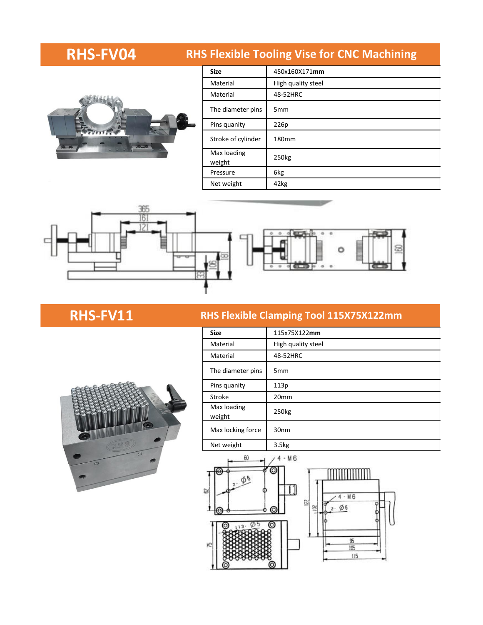

| <b>RHS-FV04</b> |                       | <b>RHS Flexible Tooling Vise for CNC Machining</b> |
|-----------------|-----------------------|----------------------------------------------------|
|                 | <b>Size</b>           | 450x160X171mm                                      |
|                 | Material              | High quality steel                                 |
|                 | Material              | 48-52HRC                                           |
|                 | The diameter pins     | 5 <sub>mm</sub>                                    |
| 邕               | Pins quanity          | 226p                                               |
| ت—ت             | Stroke of cylinder    | 180mm                                              |
|                 | Max loading<br>weight | 250 <sub>kg</sub>                                  |
|                 | Pressure              | 6kg                                                |
|                 | Net weight            | 42kg                                               |



### **RHS-FV11 RHS Flexible Clamping Tool 115X75X122mm**

| <b>Size</b>           | 115x75X122mm       |
|-----------------------|--------------------|
| Material              | High quality steel |
| Material              | 48-52HRC           |
| The diameter pins     | 5 <sub>mm</sub>    |
| Pins quanity          | 113p               |
| Stroke                | 20 <sub>mm</sub>   |
| Max loading<br>weight | 250 <sub>kg</sub>  |
| Max locking force     | 30 <sub>nm</sub>   |
| Net weight            | 3.5 <sub>kg</sub>  |



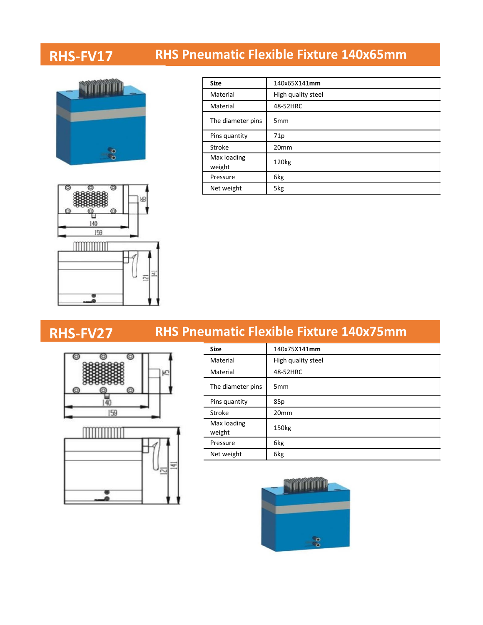## **RHS-FV17 RHS Pneumatic Flexible Fixture 140x65mm**





**RHS-FV27**

| <b>Size</b>           | 140x65X141mm       |
|-----------------------|--------------------|
| Material              | High quality steel |
| Material              | 48-52HRC           |
| The diameter pins     | 5 <sub>mm</sub>    |
| Pins quantity         | 71p                |
| Stroke                | 20 <sub>mm</sub>   |
| Max loading<br>weight | 120 <sub>kg</sub>  |
| Pressure              | 6kg                |
| Net weight            | 5kg                |

### **RHS Pneumatic Flexible Fixture 140x75mm**





| <b>Size</b>           | 140x75X141mm       |
|-----------------------|--------------------|
| Material              | High quality steel |
| Material              | 48-52HRC           |
| The diameter pins     | 5 <sub>mm</sub>    |
| Pins quantity         | 85p                |
| Stroke                | 20 <sub>mm</sub>   |
| Max loading<br>weight | 150kg              |
| Pressure              | 6kg                |
| Net weight            | 6kg                |

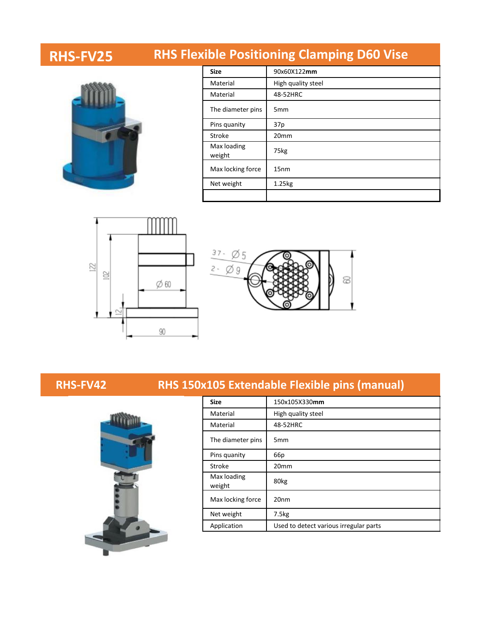# **RHS-FV25 RHS Flexible Positioning Clamping D60 Vise**



| <b>Size</b>           | 90x60X122mm        |
|-----------------------|--------------------|
| Material              | High quality steel |
| Material              | 48-52HRC           |
| The diameter pins     | 5 <sub>mm</sub>    |
| Pins quanity          | 37p                |
| Stroke                | 20 <sub>mm</sub>   |
| Max loading<br>weight | 75kg               |
| Max locking force     | 15 <sub>nm</sub>   |
| Net weight            | 1.25kg             |
|                       |                    |







### **RHS-FV42 RHS 150x105 Extendable Flexible pins (manual)**

| <b>Size</b>           | 150x105X330mm                          |
|-----------------------|----------------------------------------|
| Material              | High quality steel                     |
| Material              | 48-52HRC                               |
| The diameter pins     | 5 <sub>mm</sub>                        |
| Pins quanity          | 66 <sub>p</sub>                        |
| Stroke                | 20 <sub>mm</sub>                       |
| Max loading<br>weight | 80kg                                   |
| Max locking force     | 20 <sub>nm</sub>                       |
| Net weight            | 7.5kg                                  |
| Application           | Used to detect various irregular parts |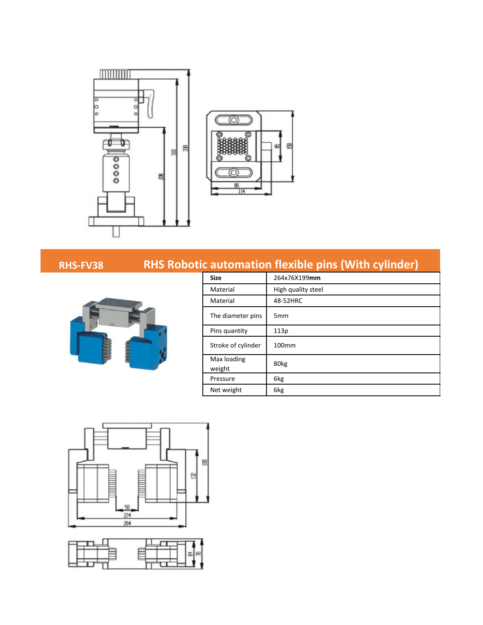



### **RHS-FV38 RHS Robotic automation flexible pins (With cylinder)**



| <b>Size</b>           | 264x76X199mm       |
|-----------------------|--------------------|
| Material              | High quality steel |
| Material              | 48-52HRC           |
| The diameter pins     | 5 <sub>mm</sub>    |
| Pins quantity         | 113p               |
| Stroke of cylinder    | 100 <sub>mm</sub>  |
| Max loading<br>weight | 80kg               |
| Pressure              | 6kg                |
| Net weight            | 6kg                |



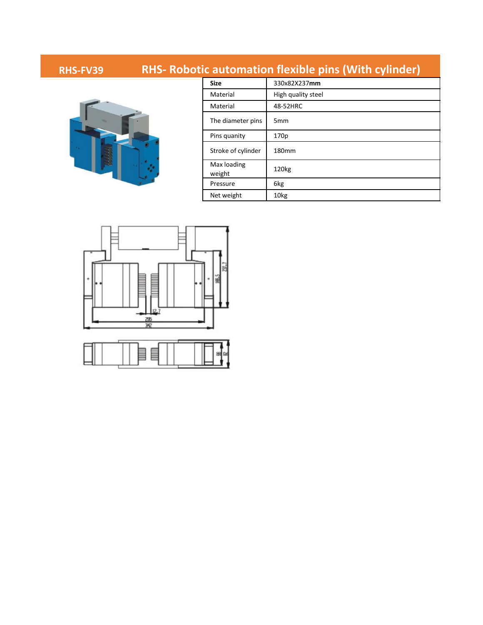### **RHS-FV39 RHS- Robotic automation flexible pins (With cylinder)**



| <b>Size</b>           | 330x82X237mm       |
|-----------------------|--------------------|
| Material              | High quality steel |
| Material              | 48-52HRC           |
| The diameter pins     | 5 <sub>mm</sub>    |
| Pins quanity          | 170p               |
| Stroke of cylinder    | 180mm              |
| Max loading<br>weight | 120 <sub>kg</sub>  |
| Pressure              | 6kg                |
| Net weight            | 10 <sub>kg</sub>   |

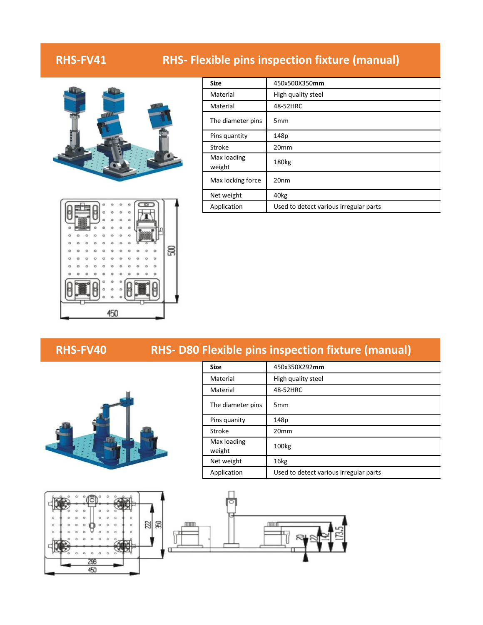### **RHS-FV41 RHS- Flexible pins inspection fixture (manual)**



| <b>Size</b>           | 450x500X350mm                          |
|-----------------------|----------------------------------------|
| Material              | High quality steel                     |
| Material              | 48-52HRC                               |
| The diameter pins     | 5 <sub>mm</sub>                        |
| Pins quantity         | 148p                                   |
| <b>Stroke</b>         | 20 <sub>mm</sub>                       |
| Max loading<br>weight | 180 <sub>kg</sub>                      |
| Max locking force     | 20 <sub>nm</sub>                       |
| Net weight            | 40kg                                   |
| Application           | Used to detect various irregular parts |



### **RHS-FV40 RHS- D80 Flexible pins inspection fixture (manual)**



| <b>Size</b>           | 450x350X292mm                          |
|-----------------------|----------------------------------------|
| Material              | High quality steel                     |
| Material              | 48-52HRC                               |
| The diameter pins     | 5 <sub>mm</sub>                        |
| Pins quanity          | 148p                                   |
| Stroke                | 20 <sub>mm</sub>                       |
| Max loading<br>weight | 100 <sub>kg</sub>                      |
| Net weight            | 16kg                                   |
| Application           | Used to detect various irregular parts |